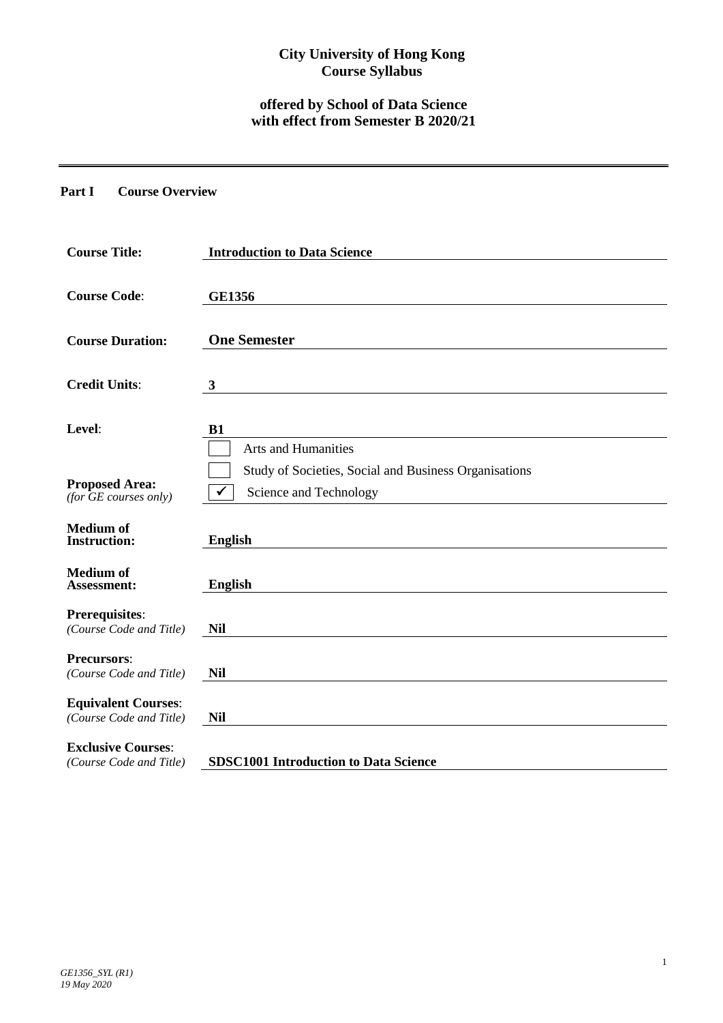# **City University of Hong Kong Course Syllabus**

# **offered by School of Data Science with effect from Semester B 2020/21**

#### **Part I Course Overview**

| <b>Course Title:</b>                                        | <b>Introduction to Data Science</b>                                             |  |  |  |
|-------------------------------------------------------------|---------------------------------------------------------------------------------|--|--|--|
| <b>Course Code:</b>                                         | <b>GE1356</b>                                                                   |  |  |  |
| <b>Course Duration:</b>                                     | <b>One Semester</b>                                                             |  |  |  |
| <b>Credit Units:</b>                                        | $\mathbf{3}$                                                                    |  |  |  |
| Level:                                                      | <b>B1</b><br>Arts and Humanities                                                |  |  |  |
| <b>Proposed Area:</b><br>$(for \overline{GE}$ courses only) | Study of Societies, Social and Business Organisations<br>Science and Technology |  |  |  |
| <b>Medium</b> of<br><b>Instruction:</b>                     | <b>English</b>                                                                  |  |  |  |
| <b>Medium</b> of<br><b>Assessment:</b>                      | <b>English</b>                                                                  |  |  |  |
| Prerequisites:<br>(Course Code and Title)                   | <b>Nil</b>                                                                      |  |  |  |
| <b>Precursors:</b><br>(Course Code and Title)               | <b>Nil</b>                                                                      |  |  |  |
| <b>Equivalent Courses:</b><br>(Course Code and Title)       | <b>Nil</b>                                                                      |  |  |  |
| <b>Exclusive Courses:</b><br>(Course Code and Title)        | <b>SDSC1001 Introduction to Data Science</b>                                    |  |  |  |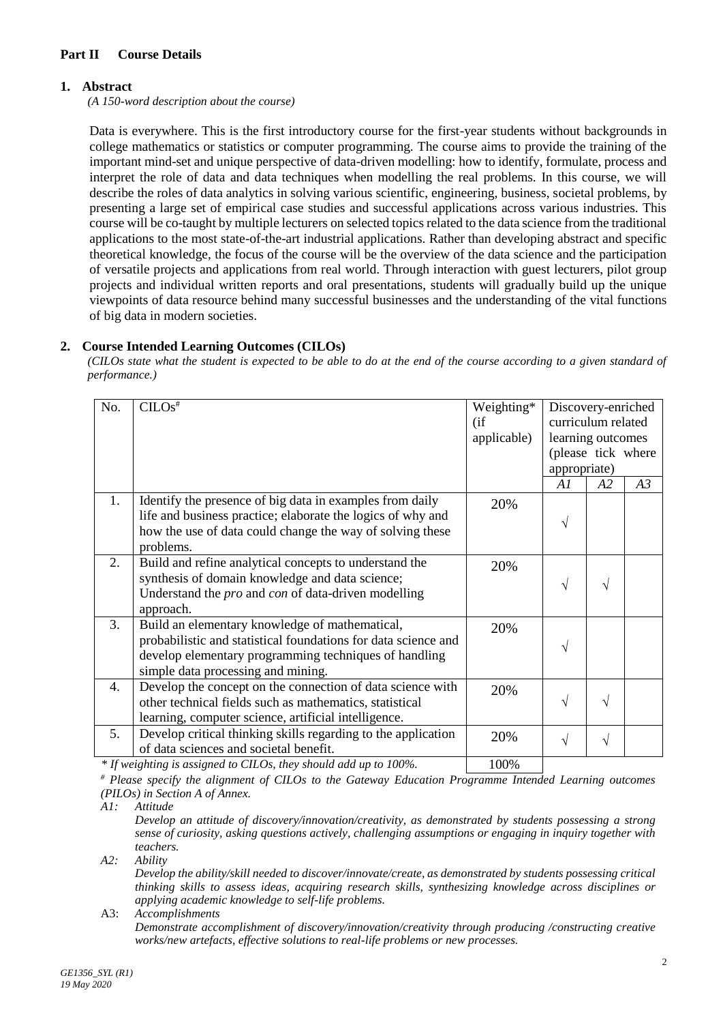## **Part II Course Details**

## **1. Abstract**

*(A 150-word description about the course)*

Data is everywhere. This is the first introductory course for the first-year students without backgrounds in college mathematics or statistics or computer programming. The course aims to provide the training of the important mind-set and unique perspective of data-driven modelling: how to identify, formulate, process and interpret the role of data and data techniques when modelling the real problems. In this course, we will describe the roles of data analytics in solving various scientific, engineering, business, societal problems, by presenting a large set of empirical case studies and successful applications across various industries. This course will be co-taught by multiple lecturers on selected topics related to the data science from the traditional applications to the most state-of-the-art industrial applications. Rather than developing abstract and specific theoretical knowledge, the focus of the course will be the overview of the data science and the participation of versatile projects and applications from real world. Through interaction with guest lecturers, pilot group projects and individual written reports and oral presentations, students will gradually build up the unique viewpoints of data resource behind many successful businesses and the understanding of the vital functions of big data in modern societies.

## **2. Course Intended Learning Outcomes (CILOs)**

*(CILOs state what the student is expected to be able to do at the end of the course according to a given standard of performance.)*

| No. | $CLOS^{\overline{\#}}$                                                                                                                                                                                          | Weighting*<br>(i f)<br>applicable) | Discovery-enriched<br>curriculum related<br>learning outcomes<br>(please tick where<br>appropriate) |    |    |
|-----|-----------------------------------------------------------------------------------------------------------------------------------------------------------------------------------------------------------------|------------------------------------|-----------------------------------------------------------------------------------------------------|----|----|
|     |                                                                                                                                                                                                                 |                                    | AI                                                                                                  | A2 | A3 |
| 1.  | Identify the presence of big data in examples from daily<br>life and business practice; elaborate the logics of why and<br>how the use of data could change the way of solving these<br>problems.               | 20%                                | V                                                                                                   |    |    |
| 2.  | Build and refine analytical concepts to understand the<br>synthesis of domain knowledge and data science;<br>Understand the <i>pro</i> and <i>con</i> of data-driven modelling<br>approach.                     | 20%                                | $\sqrt{ }$                                                                                          | V  |    |
| 3.  | Build an elementary knowledge of mathematical,<br>probabilistic and statistical foundations for data science and<br>develop elementary programming techniques of handling<br>simple data processing and mining. | 20%                                | V                                                                                                   |    |    |
| 4.  | Develop the concept on the connection of data science with<br>other technical fields such as mathematics, statistical<br>learning, computer science, artificial intelligence.                                   | 20%                                | V                                                                                                   | V  |    |
| 5.  | Develop critical thinking skills regarding to the application<br>of data sciences and societal benefit.                                                                                                         | 20%                                | V                                                                                                   | V  |    |
|     | $*$ If weighting is assigned to CILOs, they should add up to 100%                                                                                                                                               | $100\%$                            |                                                                                                     |    |    |

*If weighting is assigned to CILOs, they should add up to 100%.* 100%

*# Please specify the alignment of CILOs to the Gateway Education Programme Intended Learning outcomes (PILOs) in Section A of Annex.* 

*A1: Attitude* 

*Develop an attitude of discovery/innovation/creativity, as demonstrated by students possessing a strong sense of curiosity, asking questions actively, challenging assumptions or engaging in inquiry together with teachers.*

*A2: Ability*

*Develop the ability/skill needed to discover/innovate/create, as demonstrated by students possessing critical thinking skills to assess ideas, acquiring research skills, synthesizing knowledge across disciplines or applying academic knowledge to self-life problems.* A3: *Accomplishments*

*Demonstrate accomplishment of discovery/innovation/creativity through producing /constructing creative works/new artefacts, effective solutions to real-life problems or new processes.*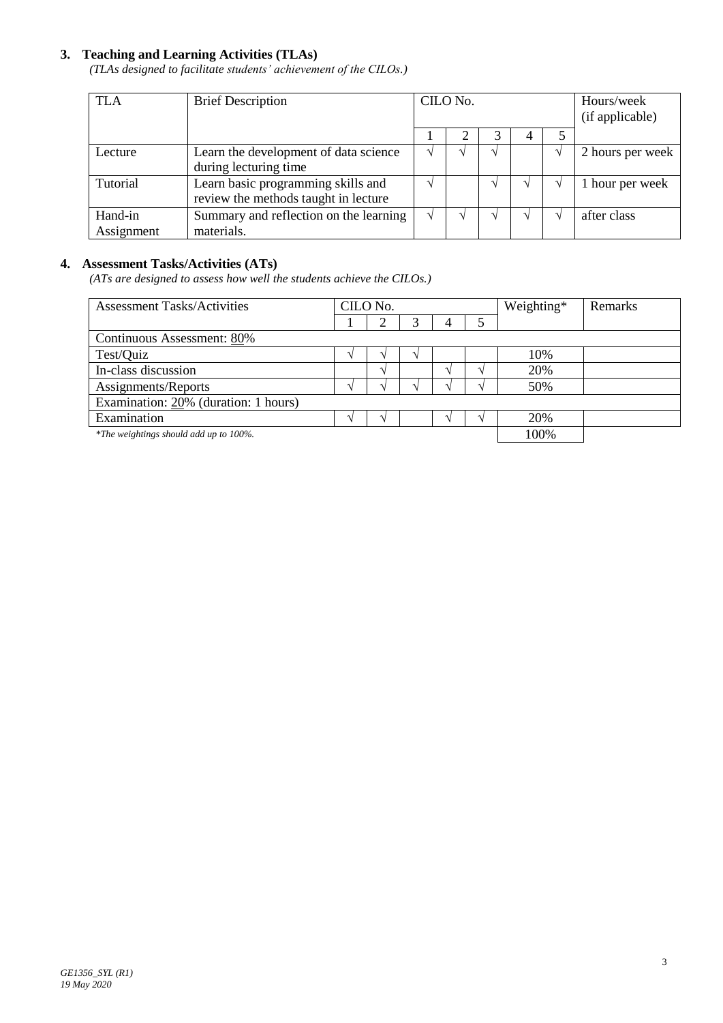### **3. Teaching and Learning Activities (TLAs)**

*(TLAs designed to facilitate students' achievement of the CILOs.)*

| <b>TLA</b> | <b>Brief Description</b>               | CILO No. |  |   | Hours/week<br>(if applicable) |                  |
|------------|----------------------------------------|----------|--|---|-------------------------------|------------------|
|            |                                        |          |  | 4 |                               |                  |
| Lecture    | Learn the development of data science  |          |  |   |                               | 2 hours per week |
|            | during lecturing time                  |          |  |   |                               |                  |
| Tutorial   | Learn basic programming skills and     |          |  |   |                               | 1 hour per week  |
|            | review the methods taught in lecture   |          |  |   |                               |                  |
| Hand-in    | Summary and reflection on the learning |          |  |   |                               | after class      |
| Assignment | materials.                             |          |  |   |                               |                  |

## **4. Assessment Tasks/Activities (ATs)**

*(ATs are designed to assess how well the students achieve the CILOs.)*

| <b>Assessment Tasks/Activities</b>     | CILO No. |  |  |  |      | Weighting* | <b>Remarks</b> |
|----------------------------------------|----------|--|--|--|------|------------|----------------|
|                                        |          |  |  |  |      |            |                |
| Continuous Assessment: 80%             |          |  |  |  |      |            |                |
| Test/Quiz                              |          |  |  |  |      | 10%        |                |
| In-class discussion                    |          |  |  |  |      | 20%        |                |
| Assignments/Reports                    |          |  |  |  |      | 50%        |                |
| Examination: 20% (duration: 1 hours)   |          |  |  |  |      |            |                |
| Examination                            |          |  |  |  |      | 20%        |                |
| *The weightings should add up to 100%. |          |  |  |  | 100% |            |                |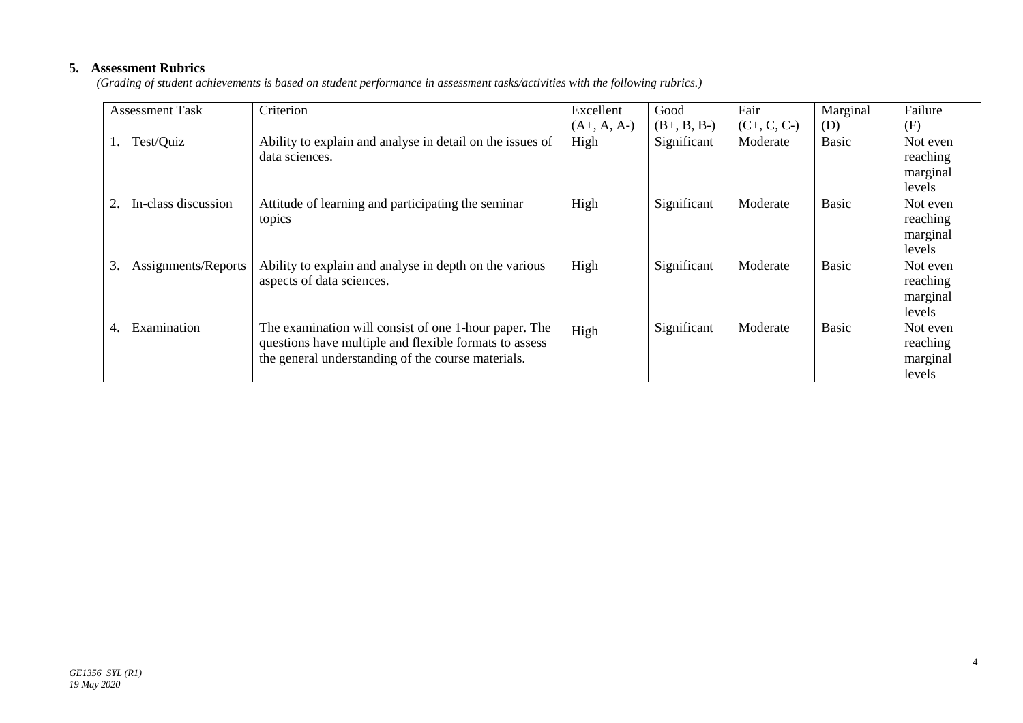# **5. Assessment Rubrics**

*(Grading of student achievements is based on student performance in assessment tasks/activities with the following rubrics.)*

| <b>Assessment Task</b>    | Criterion                                                                                                                                                             | Excellent     | Good          | Fair          | Marginal     | Failure                                    |
|---------------------------|-----------------------------------------------------------------------------------------------------------------------------------------------------------------------|---------------|---------------|---------------|--------------|--------------------------------------------|
|                           |                                                                                                                                                                       | $(A+, A, A-)$ | $(B+, B, B-)$ | $(C+, C, C-)$ | (D)          | (F)                                        |
| Test/Quiz                 | Ability to explain and analyse in detail on the issues of<br>data sciences.                                                                                           | High          | Significant   | Moderate      | <b>Basic</b> | Not even<br>reaching<br>marginal<br>levels |
| In-class discussion       | Attitude of learning and participating the seminar<br>topics                                                                                                          | High          | Significant   | Moderate      | <b>Basic</b> | Not even<br>reaching<br>marginal<br>levels |
| 3.<br>Assignments/Reports | Ability to explain and analyse in depth on the various<br>aspects of data sciences.                                                                                   | High          | Significant   | Moderate      | <b>Basic</b> | Not even<br>reaching<br>marginal<br>levels |
| Examination<br>4.         | The examination will consist of one 1-hour paper. The<br>questions have multiple and flexible formats to assess<br>the general understanding of the course materials. | High          | Significant   | Moderate      | <b>Basic</b> | Not even<br>reaching<br>marginal<br>levels |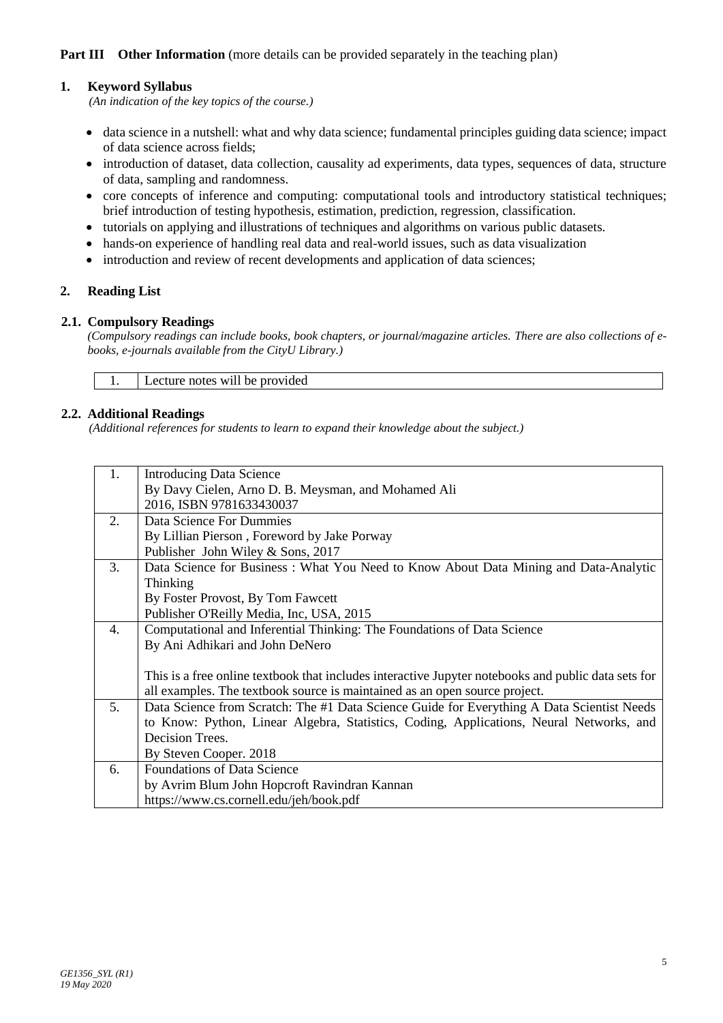## **Part III Other Information** (more details can be provided separately in the teaching plan)

### **1. Keyword Syllabus**

*(An indication of the key topics of the course.)*

- data science in a nutshell: what and why data science; fundamental principles guiding data science; impact of data science across fields;
- introduction of dataset, data collection, causality ad experiments, data types, sequences of data, structure of data, sampling and randomness.
- core concepts of inference and computing: computational tools and introductory statistical techniques; brief introduction of testing hypothesis, estimation, prediction, regression, classification.
- tutorials on applying and illustrations of techniques and algorithms on various public datasets.
- hands-on experience of handling real data and real-world issues, such as data visualization
- introduction and review of recent developments and application of data sciences;

### **2. Reading List**

#### **2.1. Compulsory Readings**

*(Compulsory readings can include books, book chapters, or journal/magazine articles. There are also collections of ebooks, e-journals available from the CityU Library.)* 

1. Lecture notes will be provided

### **2.2. Additional Readings**

*(Additional references for students to learn to expand their knowledge about the subject.)*

| 1. | <b>Introducing Data Science</b>                                                                     |
|----|-----------------------------------------------------------------------------------------------------|
|    | By Davy Cielen, Arno D. B. Meysman, and Mohamed Ali                                                 |
|    | 2016, ISBN 9781633430037                                                                            |
| 2. | Data Science For Dummies                                                                            |
|    | By Lillian Pierson, Foreword by Jake Porway                                                         |
|    | Publisher John Wiley & Sons, 2017                                                                   |
| 3. | Data Science for Business: What You Need to Know About Data Mining and Data-Analytic                |
|    | Thinking                                                                                            |
|    | By Foster Provost, By Tom Fawcett                                                                   |
|    | Publisher O'Reilly Media, Inc, USA, 2015                                                            |
| 4. | Computational and Inferential Thinking: The Foundations of Data Science                             |
|    | By Ani Adhikari and John DeNero                                                                     |
|    |                                                                                                     |
|    | This is a free online textbook that includes interactive Jupyter notebooks and public data sets for |
|    | all examples. The textbook source is maintained as an open source project.                          |
| 5. | Data Science from Scratch: The #1 Data Science Guide for Everything A Data Scientist Needs          |
|    | to Know: Python, Linear Algebra, Statistics, Coding, Applications, Neural Networks, and             |
|    | Decision Trees.                                                                                     |
|    | By Steven Cooper. 2018                                                                              |
| 6. | <b>Foundations of Data Science</b>                                                                  |
|    | by Avrim Blum John Hopcroft Ravindran Kannan                                                        |
|    | https://www.cs.cornell.edu/jeh/book.pdf                                                             |